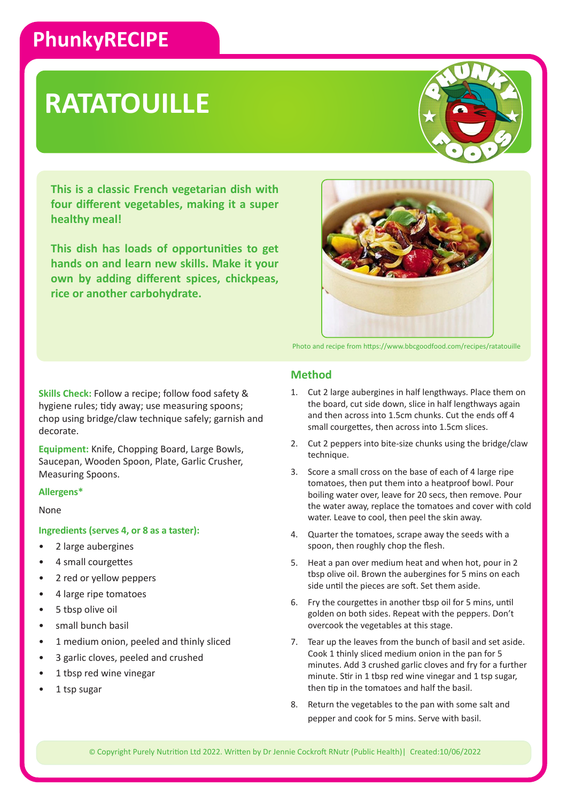## **PhunkyRECIPE**

# **RATATOUILLE**

**This is a classic French vegetarian dish with four different vegetables, making it a super healthy meal!** 

**This dish has loads of opportunities to get hands on and learn new skills. Make it your own by adding different spices, chickpeas, rice or another carbohydrate.**



Photo and recipe from https://www.bbcgoodfood.com/recipes/ratatouille

**Skills Check:** Follow a recipe; follow food safety & hygiene rules; tidy away; use measuring spoons; chop using bridge/claw technique safely; garnish and decorate.

**Equipment:** Knife, Chopping Board, Large Bowls, Saucepan, Wooden Spoon, Plate, Garlic Crusher, Measuring Spoons.

#### **Allergens\***

#### None

#### **Ingredients (serves 4, or 8 as a taster):**

- 2 large aubergines
- 4 small courgettes
- 2 red or yellow peppers
- 4 large ripe tomatoes
- 5 tbsp olive oil
- small bunch basil
- 1 medium onion, peeled and thinly sliced
- 3 garlic cloves, peeled and crushed
- 1 tbsp red wine vinegar
- 1 tsp sugar

## **Method**

- 1. Cut 2 large aubergines in half lengthways. Place them on the board, cut side down, slice in half lengthways again and then across into 1.5cm chunks. Cut the ends off 4 small courgettes, then across into 1.5cm slices.
- 2. Cut 2 peppers into bite-size chunks using the bridge/claw technique.
- 3. Score a small cross on the base of each of 4 large ripe tomatoes, then put them into a heatproof bowl. Pour boiling water over, leave for 20 secs, then remove. Pour the water away, replace the tomatoes and cover with cold water. Leave to cool, then peel the skin away.
- 4. Quarter the tomatoes, scrape away the seeds with a spoon, then roughly chop the flesh.
- 5. Heat a pan over medium heat and when hot, pour in 2 tbsp olive oil. Brown the aubergines for 5 mins on each side until the pieces are soft. Set them aside.
- 6. Fry the courgettes in another tbsp oil for 5 mins, until golden on both sides. Repeat with the peppers. Don't overcook the vegetables at this stage.
- 7. Tear up the leaves from the bunch of basil and set aside. Cook 1 thinly sliced medium onion in the pan for 5 minutes. Add 3 crushed garlic cloves and fry for a further minute. Stir in 1 tbsp red wine vinegar and 1 tsp sugar, then tip in the tomatoes and half the basil.
- 8. Return the vegetables to the pan with some salt and pepper and cook for 5 mins. Serve with basil.